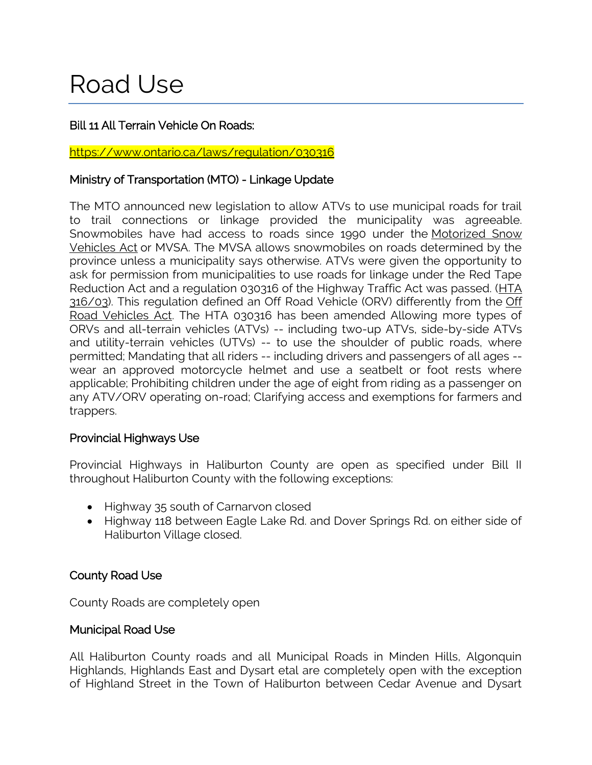# Road Use

## Bill 11 All Terrain Vehicle On Roads:

#### <https://www.ontario.ca/laws/regulation/030316>

## Ministry of Transportation (MTO) - Linkage Update

The MTO announced new legislation to allow ATVs to use municipal roads for trail to trail connections or linkage provided the municipality was agreeable. Snowmobiles have had access to roads since 1990 under the Motorized Snow [Vehicles Act](https://www.ontario.ca/laws/statute/90m44) or MVSA. The MVSA allows snowmobiles on roads determined by the province unless a municipality says otherwise. ATVs were given the opportunity to ask for permission from municipalities to use roads for linkage under the Red Tape Reduction Act and a regulation 030316 of the Highway Traffic Act was passed. [\(HTA](https://www.ontario.ca/laws/regulation/030316)  [316/03\)](https://www.ontario.ca/laws/regulation/030316). This regulation defined an [Off](https://www.ontario.ca/laws/statute/90o04) Road Vehicle (ORV) differently from the Off [Road Vehicles Act.](https://www.ontario.ca/laws/statute/90o04) The HTA 030316 has been amended Allowing more types of ORVs and all-terrain vehicles (ATVs) -- including two-up ATVs, side-by-side ATVs and utility-terrain vehicles (UTVs) -- to use the shoulder of public roads, where permitted; Mandating that all riders -- including drivers and passengers of all ages - wear an approved motorcycle helmet and use a seatbelt or foot rests where applicable; Prohibiting children under the age of eight from riding as a passenger on any ATV/ORV operating on-road; Clarifying access and exemptions for farmers and trappers.

## Provincial Highways Use

Provincial Highways in Haliburton County are open as specified under Bill II throughout Haliburton County with the following exceptions:

- Highway 35 south of Carnarvon closed
- Highway 118 between Eagle Lake Rd. and Dover Springs Rd. on either side of Haliburton Village closed.

## County Road Use

County Roads are completely open

#### Municipal Road Use

All Haliburton County roads and all Municipal Roads in Minden Hills, Algonquin Highlands, Highlands East and Dysart etal are completely open with the exception of Highland Street in the Town of Haliburton between Cedar Avenue and Dysart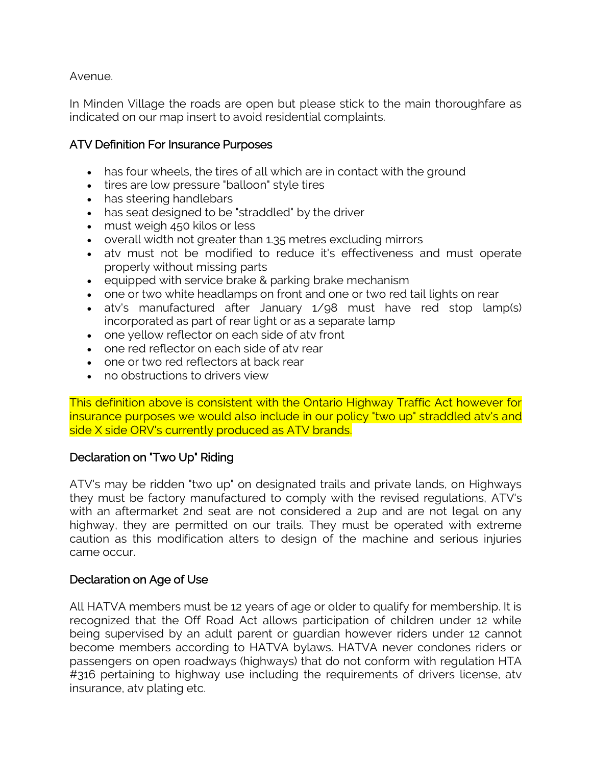Avenue.

In Minden Village the roads are open but please stick to the main thoroughfare as indicated on our map insert to avoid residential complaints.

## ATV Definition For Insurance Purposes

- has four wheels, the tires of all which are in contact with the ground
- tires are low pressure "balloon" style tires
- has steering handlebars
- has seat designed to be "straddled" by the driver
- must weigh 450 kilos or less
- overall width not greater than 1.35 metres excluding mirrors
- atv must not be modified to reduce it's effectiveness and must operate properly without missing parts
- $\bullet$  equipped with service brake & parking brake mechanism
- one or two white headlamps on front and one or two red tail lights on rear
- atv's manufactured after January 1/98 must have red stop lamp(s) incorporated as part of rear light or as a separate lamp
- one yellow reflector on each side of atv front
- one red reflector on each side of atv rear
- one or two red reflectors at back rear
- no obstructions to drivers view

This definition above is consistent with the Ontario Highway Traffic Act however for insurance purposes we would also include in our policy "two up" straddled atv's and side X side ORV's currently produced as ATV brands.

## Declaration on "Two Up" Riding

ATV's may be ridden "two up" on designated trails and private lands, on Highways they must be factory manufactured to comply with the revised regulations, ATV's with an aftermarket 2nd seat are not considered a 2up and are not legal on any highway, they are permitted on our trails. They must be operated with extreme caution as this modification alters to design of the machine and serious injuries came occur.

#### Declaration on Age of Use

All HATVA members must be 12 years of age or older to qualify for membership. It is recognized that the Off Road Act allows participation of children under 12 while being supervised by an adult parent or guardian however riders under 12 cannot become members according to HATVA bylaws. HATVA never condones riders or passengers on open roadways (highways) that do not conform with regulation HTA #316 pertaining to highway use including the requirements of drivers license, atv insurance, atv plating etc.